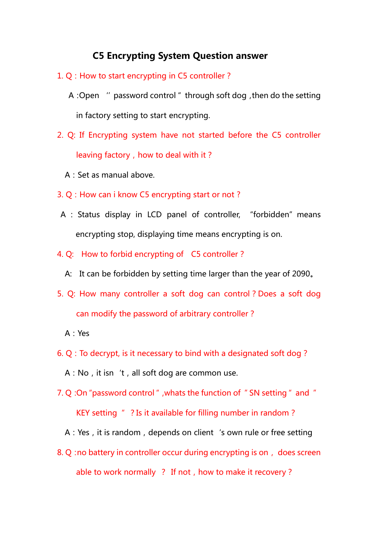## C5 Encrypting System Question answer

- 1. Q: How to start encrypting in C5 controller?
	- A:Open ''password control" through soft dog,then do the setting in factory setting to start encrypting.
- 2. Q: If Encrypting system have not started before the C5 controller leaving factory, how to deal with it?
	- A:Set as manual above.
- 3. Q: How can i know C5 encrypting start or not ?
- A : Status display in LCD panel of controller, "forbidden" means encrypting stop, displaying time means encrypting is on.
- 4. Q: How to forbid encrypting of C5 controller?
	- A: It can be forbidden by setting time larger than the year of 2090。
- 5. Q: How many controller a soft dog can control? Does a soft dog can modify the password of arbitrary controller?
	- A:Yes
- 6. Q:To decrypt, is it necessary to bind with a designated soft dog?
	- A: No, it isn 't, all soft dog are common use.
- 7. Q:On"password control",whats the function of "SN setting" and " KEY setting "? Is it available for filling number in random?
	- A: Yes, it is random, depends on client 's own rule or free setting
- 8. Q : no battery in controller occur during encrypting is on, does screen able to work normally  $\cdot$  ? If not, how to make it recovery ?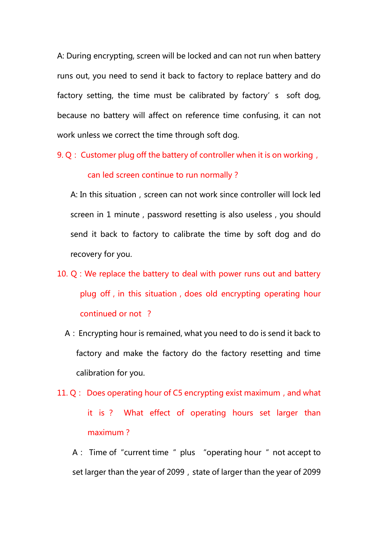A: During encrypting, screen will be locked and can not run when battery runs out, you need to send it back to factory to replace battery and do factory setting, the time must be calibrated by factory's soft dog, because no battery will affect on reference time confusing, it can not work unless we correct the time through soft dog.

9. Q: Customer plug off the battery of controller when it is on working, can led screen continue to run normally?

A: In this situation, screen can not work since controller will lock led screen in 1 minute, password resetting is also useless, you should send it back to factory to calibrate the time by soft dog and do recovery for you.

- 10.  $Q$ : We replace the battery to deal with power runs out and battery plug off, in this situation, does old encrypting operating hour continued or not ?
	- A:Encrypting hour is remained, what you need to do is send it back to factory and make the factory do the factory resetting and time calibration for you.
- 11.  $Q:$  Does operating hour of C5 encrypting exist maximum, and what it is ? What effect of operating hours set larger than maximum?

A: Time of "current time " plus "operating hour " not accept to set larger than the year of 2099, state of larger than the year of 2099